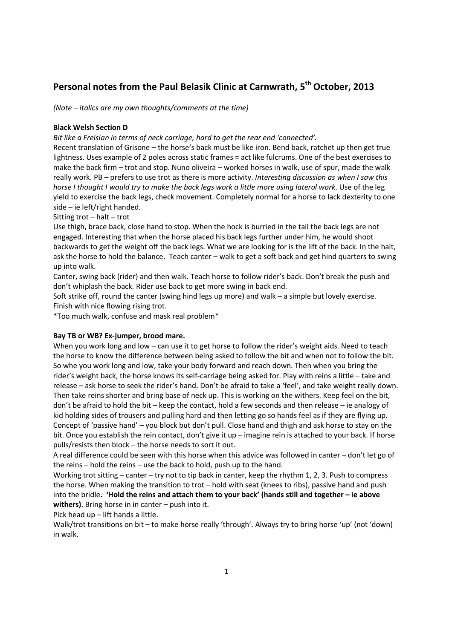# **Personal notes from the Paul Belasik Clinic at Carnwrath, 5th October, 2013**

*(Note – italics are my own thoughts/comments at the time)* 

# **Black Welsh Section D**

*Bit like a Freisian in terms of neck carriage, hard to get the rear end 'connected'.* 

Recent translation of Grisone – the horse's back must be like iron. Bend back, ratchet up then get true lightness. Uses example of 2 poles across static frames = act like fulcrums. One of the best exercises to make the back firm – trot and stop. Nuno oliveira – worked horses in walk, use of spur, made the walk really work. PB – prefers to use trot as there is more activity. *Interesting discussion as when I saw this horse I thought I would try to make the back legs work a little more using lateral work*. Use of the leg yield to exercise the back legs, check movement. Completely normal for a horse to lack dexterity to one side – ie left/right handed.

## Sitting trot – halt – trot

Use thigh, brace back, close hand to stop. When the hock is burried in the tail the back legs are not engaged. Interesting that when the horse placed his back legs further under him, he would shoot backwards to get the weight off the back legs. What we are looking for is the lift of the back. In the halt, ask the horse to hold the balance. Teach canter – walk to get a soft back and get hind quarters to swing up into walk.

Canter, swing back (rider) and then walk. Teach horse to follow rider's back. Don't break the push and don't whiplash the back. Rider use back to get more swing in back end.

Soft strike off, round the canter (swing hind legs up more) and walk – a simple but lovely exercise. Finish with nice flowing rising trot.

\*Too much walk, confuse and mask real problem\*

# **Bay TB or WB? Ex-jumper, brood mare.**

When you work long and low – can use it to get horse to follow the rider's weight aids. Need to teach the horse to know the difference between being asked to follow the bit and when not to follow the bit. So whe you work long and low, take your body forward and reach down. Then when you bring the rider's weight back, the horse knows its self-carriage being asked for. Play with reins a little – take and release – ask horse to seek the rider's hand. Don't be afraid to take a 'feel', and take weight really down. Then take reins shorter and bring base of neck up. This is working on the withers. Keep feel on the bit, don't be afraid to hold the bit – keep the contact, hold a few seconds and then release – ie analogy of kid holding sides of trousers and pulling hard and then letting go so hands feel as if they are flying up. Concept of 'passive hand' – you block but don't pull. Close hand and thigh and ask horse to stay on the bit. Once you establish the rein contact, don't give it up – imagine rein is attached to your back. If horse pulls/resists then block – the horse needs to sort it out.

A real difference could be seen with this horse when this advice was followed in canter – don't let go of the reins – hold the reins – use the back to hold, push up to the hand.

Working trot sitting – canter – try not to tip back in canter, keep the rhythm 1, 2, 3. Push to compress the horse. When making the transition to trot – hold with seat (knees to ribs), passive hand and push into the bridle**. 'Hold the reins and attach them to your back' (hands still and together – ie above withers)**. Bring horse in in canter – push into it.

Pick head up – lift hands a little.

Walk/trot transitions on bit – to make horse really 'through'. Always try to bring horse 'up' (not 'down) in walk.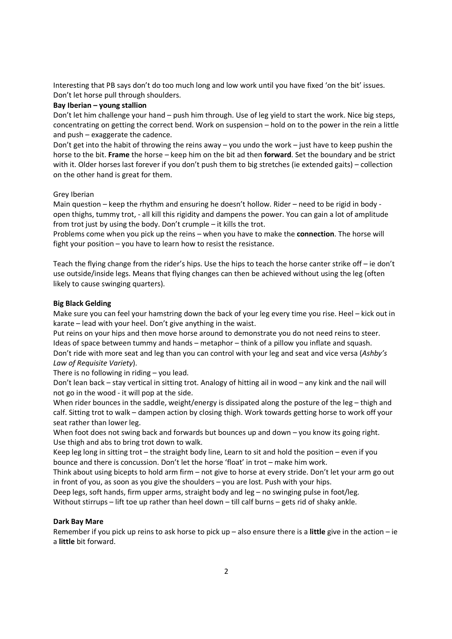Interesting that PB says don't do too much long and low work until you have fixed 'on the bit' issues. Don't let horse pull through shoulders.

#### **Bay Iberian – young stallion**

Don't let him challenge your hand – push him through. Use of leg yield to start the work. Nice big steps, concentrating on getting the correct bend. Work on suspension – hold on to the power in the rein a little and push – exaggerate the cadence.

Don't get into the habit of throwing the reins away – you undo the work – just have to keep pushin the horse to the bit. **Frame** the horse – keep him on the bit ad then **forward**. Set the boundary and be strict with it. Older horses last forever if you don't push them to big stretches (ie extended gaits) – collection on the other hand is great for them.

## Grey Iberian

Main question – keep the rhythm and ensuring he doesn't hollow. Rider – need to be rigid in body open thighs, tummy trot, - all kill this rigidity and dampens the power. You can gain a lot of amplitude from trot just by using the body. Don't crumple – it kills the trot.

Problems come when you pick up the reins – when you have to make the **connection**. The horse will fight your position – you have to learn how to resist the resistance.

Teach the flying change from the rider's hips. Use the hips to teach the horse canter strike off – ie don't use outside/inside legs. Means that flying changes can then be achieved without using the leg (often likely to cause swinging quarters).

## **Big Black Gelding**

Make sure you can feel your hamstring down the back of your leg every time you rise. Heel – kick out in karate – lead with your heel. Don't give anything in the waist.

Put reins on your hips and then move horse around to demonstrate you do not need reins to steer. Ideas of space between tummy and hands – metaphor – think of a pillow you inflate and squash. Don't ride with more seat and leg than you can control with your leg and seat and vice versa (*Ashby's Law of Requisite Variety*).

There is no following in riding – you lead.

Don't lean back – stay vertical in sitting trot. Analogy of hitting ail in wood – any kink and the nail will not go in the wood - it will pop at the side.

When rider bounces in the saddle, weight/energy is dissipated along the posture of the leg – thigh and calf. Sitting trot to walk – dampen action by closing thigh. Work towards getting horse to work off your seat rather than lower leg.

When foot does not swing back and forwards but bounces up and down - you know its going right. Use thigh and abs to bring trot down to walk.

Keep leg long in sitting trot – the straight body line, Learn to sit and hold the position – even if you bounce and there is concussion. Don't let the horse 'float' in trot – make him work.

Think about using bicepts to hold arm firm – not give to horse at every stride. Don't let your arm go out in front of you, as soon as you give the shoulders – you are lost. Push with your hips.

Deep legs, soft hands, firm upper arms, straight body and leg – no swinging pulse in foot/leg.

Without stirrups – lift toe up rather than heel down – till calf burns – gets rid of shaky ankle.

# **Dark Bay Mare**

Remember if you pick up reins to ask horse to pick up – also ensure there is a **little** give in the action – ie a **little** bit forward.